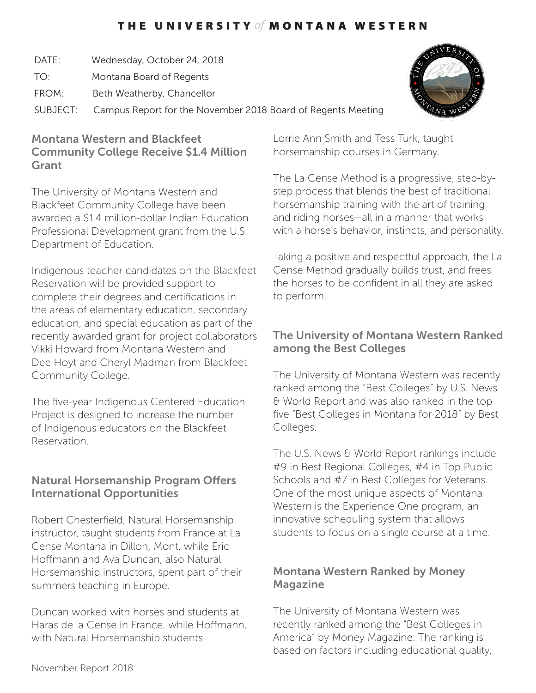# THE UNIVERSITY of MONTANA WESTERN

- DATE: Wednesday, October 24, 2018
- TO: Montana Board of Regents
- FROM: Beth Weatherby, Chancellor

SUBJECT: Campus Report for the November 2018 Board of Regents Meeting

#### Montana Western and Blackfeet Community College Receive \$1.4 Million Grant

The University of Montana Western and Blackfeet Community College have been awarded a \$1.4 million-dollar Indian Education Professional Development grant from the U.S. Department of Education.

Indigenous teacher candidates on the Blackfeet Reservation will be provided support to complete their degrees and certifications in the areas of elementary education, secondary education, and special education as part of the recently awarded grant for project collaborators Vikki Howard from Montana Western and Dee Hoyt and Cheryl Madman from Blackfeet Community College.

The five-year Indigenous Centered Education Project is designed to increase the number of Indigenous educators on the Blackfeet Reservation.

# Natural Horsemanship Program Offers International Opportunities

Robert Chesterfield, Natural Horsemanship instructor, taught students from France at La Cense Montana in Dillon, Mont. while Eric Hoffmann and Ava Duncan, also Natural Horsemanship instructors, spent part of their summers teaching in Europe.

Duncan worked with horses and students at Haras de la Cense in France, while Hoffmann, with Natural Horsemanship students

Lorrie Ann Smith and Tess Turk, taught horsemanship courses in Germany.

The La Cense Method is a progressive, step-bystep process that blends the best of traditional horsemanship training with the art of training and riding horses—all in a manner that works with a horse's behavior, instincts, and personality.

Taking a positive and respectful approach, the La Cense Method gradually builds trust, and frees the horses to be confident in all they are asked to perform.

# The University of Montana Western Ranked among the Best Colleges

The University of Montana Western was recently ranked among the "Best Colleges" by U.S. News & World Report and was also ranked in the top five "Best Colleges in Montana for 2018" by Best Colleges.

The U.S. News & World Report rankings include #9 in Best Regional Colleges, #4 in Top Public Schools and #7 in Best Colleges for Veterans. One of the most unique aspects of Montana Western is the Experience One program, an innovative scheduling system that allows students to focus on a single course at a time.

## Montana Western Ranked by Money Magazine

The University of Montana Western was recently ranked among the "Best Colleges in America" by Money Magazine. The ranking is based on factors including educational quality,



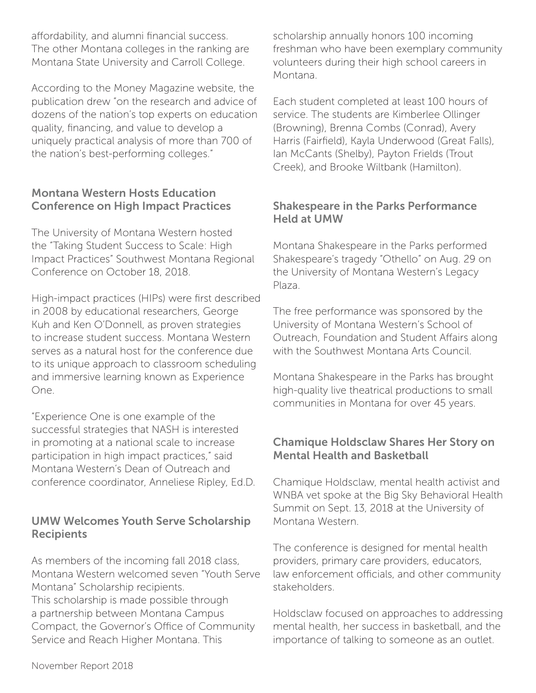affordability, and alumni financial success. The other Montana colleges in the ranking are Montana State University and Carroll College.

According to the Money Magazine website, the publication drew "on the research and advice of dozens of the nation's top experts on education quality, financing, and value to develop a uniquely practical analysis of more than 700 of the nation's best-performing colleges."

#### Montana Western Hosts Education Conference on High Impact Practices

The University of Montana Western hosted the "Taking Student Success to Scale: High Impact Practices" Southwest Montana Regional Conference on October 18, 2018.

High-impact practices (HIPs) were first described in 2008 by educational researchers, George Kuh and Ken O'Donnell, as proven strategies to increase student success. Montana Western serves as a natural host for the conference due to its unique approach to classroom scheduling and immersive learning known as Experience One.

"Experience One is one example of the successful strategies that NASH is interested in promoting at a national scale to increase participation in high impact practices," said Montana Western's Dean of Outreach and conference coordinator, Anneliese Ripley, Ed.D.

### UMW Welcomes Youth Serve Scholarship **Recipients**

As members of the incoming fall 2018 class, Montana Western welcomed seven "Youth Serve Montana" Scholarship recipients. This scholarship is made possible through a partnership between Montana Campus Compact, the Governor's Office of Community Service and Reach Higher Montana. This

scholarship annually honors 100 incoming freshman who have been exemplary community volunteers during their high school careers in Montana.

Each student completed at least 100 hours of service. The students are Kimberlee Ollinger (Browning), Brenna Combs (Conrad), Avery Harris (Fairfield), Kayla Underwood (Great Falls), Ian McCants (Shelby), Payton Frields (Trout Creek), and Brooke Wiltbank (Hamilton).

### Shakespeare in the Parks Performance Held at UMW

Montana Shakespeare in the Parks performed Shakespeare's tragedy "Othello" on Aug. 29 on the University of Montana Western's Legacy Plaza.

The free performance was sponsored by the University of Montana Western's School of Outreach, Foundation and Student Affairs along with the Southwest Montana Arts Council.

Montana Shakespeare in the Parks has brought high-quality live theatrical productions to small communities in Montana for over 45 years.

### Chamique Holdsclaw Shares Her Story on Mental Health and Basketball

Chamique Holdsclaw, mental health activist and WNBA vet spoke at the Big Sky Behavioral Health Summit on Sept. 13, 2018 at the University of Montana Western.

The conference is designed for mental health providers, primary care providers, educators, law enforcement officials, and other community stakeholders.

Holdsclaw focused on approaches to addressing mental health, her success in basketball, and the importance of talking to someone as an outlet.